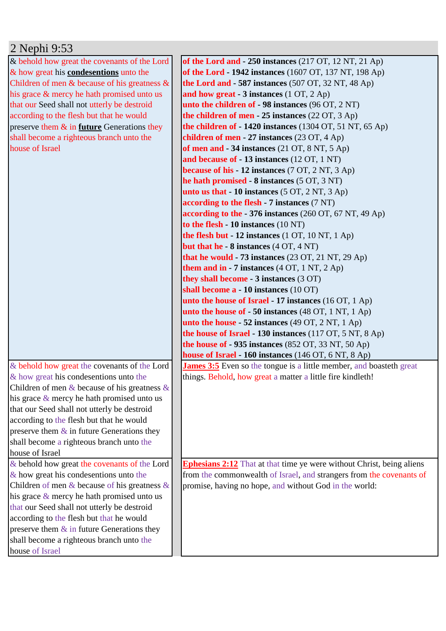## 2 Nephi 9:53

& behold how great the covenants of the Lord & how great his **condesentions** unto the Children of men  $&$  because of his greatness  $&$ his grace & mercy he hath promised unto us that our Seed shall not utterly be destroid according to the flesh but that he would preserve them & in **future** Generations they shall become a righteous branch unto the house of Israel

& behold how great the covenants of the Lord & how great his condesentions unto the Children of men  $&$  because of his greatness  $&$ his grace & mercy he hath promised unto us that our Seed shall not utterly be destroid according to the flesh but that he would preserve them  $\&$  in future Generations they shall become a righteous branch unto the house of Israel & behold how great the covenants of the Lord & how great his condesentions unto the Children of men  $&$  because of his greatness  $&$ his grace & mercy he hath promised unto us that our Seed shall not utterly be destroid

according to the flesh but that he would preserve them  $\&$  in future Generations they shall become a righteous branch unto the house of Israel

**of the Lord and - 250 instances** (217 OT, 12 NT, 21 Ap) **of the Lord - 1942 instances** (1607 OT, 137 NT, 198 Ap) **the Lord and - 587 instances** (507 OT, 32 NT, 48 Ap) **and how great - 3 instances** (1 OT, 2 Ap) **unto the children of - 98 instances** (96 OT, 2 NT) **the children of men - 25 instances** (22 OT, 3 Ap) **the children of - 1420 instances** (1304 OT, 51 NT, 65 Ap) **children of men - 27 instances** (23 OT, 4 Ap) **of men and - 34 instances** (21 OT, 8 NT, 5 Ap) **and because of - 13 instances** (12 OT, 1 NT) **because of his - 12 instances** (7 OT, 2 NT, 3 Ap) **he hath promised - 8 instances** (5 OT, 3 NT) **unto us that - 10 instances** (5 OT, 2 NT, 3 Ap) **according to the flesh - 7 instances** (7 NT) **according to the - 376 instances** (260 OT, 67 NT, 49 Ap) **to the flesh - 10 instances** (10 NT) **the flesh but - 12 instances** (1 OT, 10 NT, 1 Ap) **but that he - 8 instances** (4 OT, 4 NT) **that he would - 73 instances** (23 OT, 21 NT, 29 Ap) **them and in - 7 instances** (4 OT, 1 NT, 2 Ap) **they shall become - 3 instances** (3 OT) **shall become a - 10 instances** (10 OT) **unto the house of Israel - 17 instances** (16 OT, 1 Ap) **unto the house of - 50 instances** (48 OT, 1 NT, 1 Ap) **unto the house - 52 instances** (49 OT, 2 NT, 1 Ap) **the house of Israel - 130 instances** (117 OT, 5 NT, 8 Ap) **the house of - 935 instances** (852 OT, 33 NT, 50 Ap) **house of Israel - 160 instances** (146 OT, 6 NT, 8 Ap) **James 3:5** Even so the tongue is a little member, and boasteth great things. Behold, how great a matter a little fire kindleth!

**Ephesians 2:12** That at that time ye were without Christ, being aliens from the commonwealth of Israel, and strangers from the covenants of promise, having no hope, and without God in the world: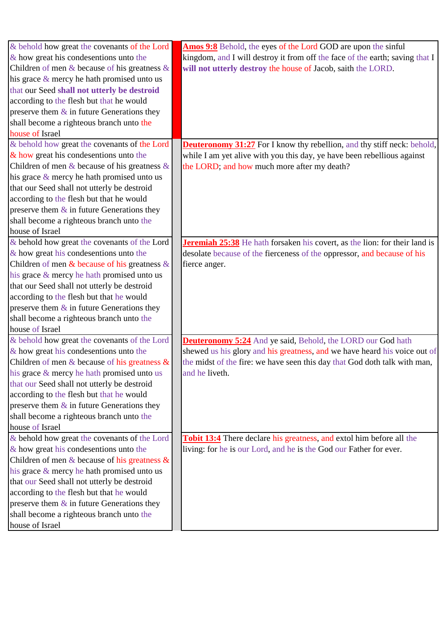| & behold how great the covenants of the Lord       | <b>Amos 9:8</b> Behold, the eyes of the Lord GOD are upon the sinful              |
|----------------------------------------------------|-----------------------------------------------------------------------------------|
| $\&$ how great his condesentions unto the          | kingdom, and I will destroy it from off the face of the earth; saving that I      |
| Children of men $\&$ because of his greatness $\&$ | will not utterly destroy the house of Jacob, saith the LORD.                      |
| his grace $\&$ mercy he hath promised unto us      |                                                                                   |
| that our Seed shall not utterly be destroid        |                                                                                   |
| according to the flesh but that he would           |                                                                                   |
| preserve them $\&$ in future Generations they      |                                                                                   |
| shall become a righteous branch unto the           |                                                                                   |
| house of Israel                                    |                                                                                   |
| & behold how great the covenants of the Lord       | <b>Deuteronomy 31:27</b> For I know thy rebellion, and thy stiff neck: behold,    |
| & how great his condesentions unto the             | while I am yet alive with you this day, ye have been rebellious against           |
| Children of men $\&$ because of his greatness $\&$ | the LORD; and how much more after my death?                                       |
| his grace $\&$ mercy he hath promised unto us      |                                                                                   |
| that our Seed shall not utterly be destroid        |                                                                                   |
| according to the flesh but that he would           |                                                                                   |
| preserve them $\&$ in future Generations they      |                                                                                   |
| shall become a righteous branch unto the           |                                                                                   |
| house of Israel                                    |                                                                                   |
| & behold how great the covenants of the Lord       | <b>Jeremiah 25:38</b> He hath forsaken his covert, as the lion: for their land is |
| $\&$ how great his condesentions unto the          | desolate because of the fierceness of the oppressor, and because of his           |
| Children of men $\&$ because of his greatness $\&$ | fierce anger.                                                                     |
| his grace & mercy he hath promised unto us         |                                                                                   |
| that our Seed shall not utterly be destroid        |                                                                                   |
| according to the flesh but that he would           |                                                                                   |
| preserve them $\&$ in future Generations they      |                                                                                   |
| shall become a righteous branch unto the           |                                                                                   |
| house of Israel                                    |                                                                                   |
| & behold how great the covenants of the Lord       | <b>Deuteronomy 5:24</b> And ye said, Behold, the LORD our God hath                |
| $\&$ how great his condesentions unto the          | shewed us his glory and his greatness, and we have heard his voice out of         |
| Children of men $\&$ because of his greatness $\&$ | the midst of the fire: we have seen this day that God doth talk with man,         |
| his grace & mercy he hath promised unto us         | and he liveth.                                                                    |
| that our Seed shall not utterly be destroid        |                                                                                   |
| according to the flesh but that he would           |                                                                                   |
| preserve them $\&$ in future Generations they      |                                                                                   |
| shall become a righteous branch unto the           |                                                                                   |
| house of Israel                                    |                                                                                   |
| & behold how great the covenants of the Lord       | <b>Tobit 13:4</b> There declare his greatness, and extol him before all the       |
| $\&$ how great his condesentions unto the          | living: for he is our Lord, and he is the God our Father for ever.                |
| Children of men $\&$ because of his greatness $\&$ |                                                                                   |
| his grace $\&$ mercy he hath promised unto us      |                                                                                   |
| that our Seed shall not utterly be destroid        |                                                                                   |
| according to the flesh but that he would           |                                                                                   |
| preserve them $\&$ in future Generations they      |                                                                                   |
| shall become a righteous branch unto the           |                                                                                   |
| house of Israel                                    |                                                                                   |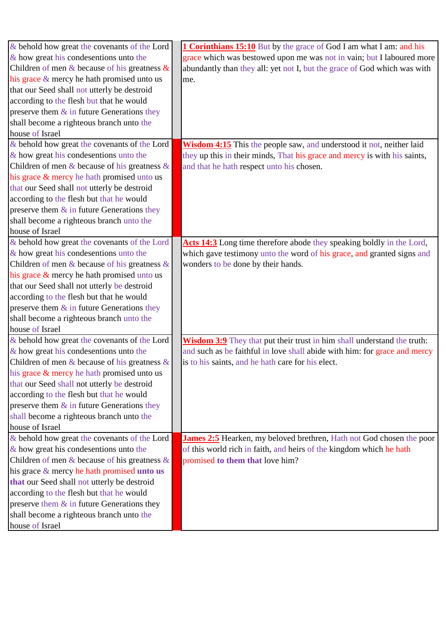| & behold how great the covenants of the Lord       | <b>1 Corinthians 15:10</b> But by the grace of God I am what I am: and his     |
|----------------------------------------------------|--------------------------------------------------------------------------------|
| $\&$ how great his condesentions unto the          | grace which was bestowed upon me was not in vain; but I laboured more          |
| Children of men & because of his greatness $\&$    | abundantly than they all: yet not I, but the grace of God which was with       |
| his grace & mercy he hath promised unto us         | me.                                                                            |
| that our Seed shall not utterly be destroid        |                                                                                |
| according to the flesh but that he would           |                                                                                |
| preserve them $\&$ in future Generations they      |                                                                                |
| shall become a righteous branch unto the           |                                                                                |
| house of Israel                                    |                                                                                |
| & behold how great the covenants of the Lord       | Wisdom 4:15 This the people saw, and understood it not, neither laid           |
| $\&$ how great his condesentions unto the          | they up this in their minds, That his grace and mercy is with his saints,      |
| Children of men $\&$ because of his greatness $\&$ | and that he hath respect unto his chosen.                                      |
| his grace & mercy he hath promised unto us         |                                                                                |
| that our Seed shall not utterly be destroid        |                                                                                |
| according to the flesh but that he would           |                                                                                |
| preserve them $\&$ in future Generations they      |                                                                                |
| shall become a righteous branch unto the           |                                                                                |
| house of Israel                                    |                                                                                |
| & behold how great the covenants of the Lord       | Acts 14:3 Long time therefore abode they speaking boldly in the Lord,          |
| $\&$ how great his condesentions unto the          | which gave testimony unto the word of his grace, and granted signs and         |
| Children of men & because of his greatness $\&$    | wonders to be done by their hands.                                             |
| his grace $\&$ mercy he hath promised unto us      |                                                                                |
| that our Seed shall not utterly be destroid        |                                                                                |
| according to the flesh but that he would           |                                                                                |
| preserve them $\&$ in future Generations they      |                                                                                |
| shall become a righteous branch unto the           |                                                                                |
| house of Israel                                    |                                                                                |
| & behold how great the covenants of the Lord       | <b>Wisdom 3:9</b> They that put their trust in him shall understand the truth: |
| $\&$ how great his condesentions unto the          | and such as be faithful in love shall abide with him: for grace and mercy      |
| Children of men $\&$ because of his greatness $\&$ | is to his saints, and he hath care for his elect.                              |
| his grace & mercy he hath promised unto us         |                                                                                |
| that our Seed shall not utterly be destroid        |                                                                                |
| according to the flesh but that he would           |                                                                                |
| preserve them $\&$ in future Generations they      |                                                                                |
| shall become a righteous branch unto the           |                                                                                |
| house of Israel                                    |                                                                                |
| & behold how great the covenants of the Lord       | James 2:5 Hearken, my beloved brethren, Hath not God chosen the poor           |
| $\&$ how great his condesentions unto the          | of this world rich in faith, and heirs of the kingdom which he hath            |
| Children of men $\&$ because of his greatness $\&$ | promised to them that love him?                                                |
| his grace $\&$ mercy he hath promised unto us      |                                                                                |
| that our Seed shall not utterly be destroid        |                                                                                |
| according to the flesh but that he would           |                                                                                |
| preserve them $\&$ in future Generations they      |                                                                                |
| shall become a righteous branch unto the           |                                                                                |
| house of Israel                                    |                                                                                |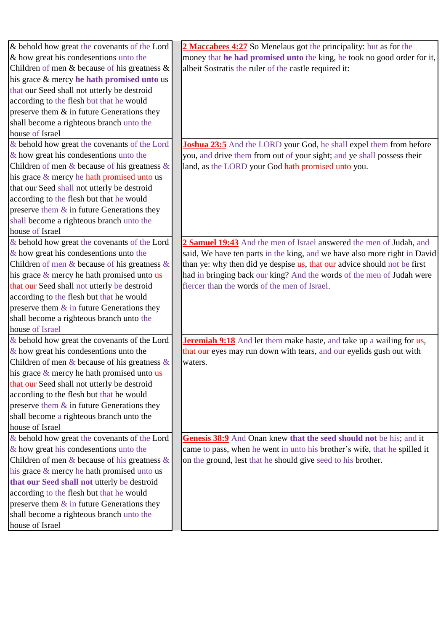| & behold how great the covenants of the Lord              | 2 Maccabees 4:27 So Menelaus got the principality: but as for the           |
|-----------------------------------------------------------|-----------------------------------------------------------------------------|
| $\&$ how great his condesentions unto the                 | money that he had promised unto the king, he took no good order for it,     |
| Children of men $\&$ because of his greatness $\&$        | albeit Sostratis the ruler of the castle required it:                       |
| his grace & mercy he hath promised unto us                |                                                                             |
| that our Seed shall not utterly be destroid               |                                                                             |
| according to the flesh but that he would                  |                                                                             |
| preserve them $\&$ in future Generations they             |                                                                             |
| shall become a righteous branch unto the                  |                                                                             |
| house of Israel                                           |                                                                             |
| & behold how great the covenants of the Lord              | <b>Joshua 23:5</b> And the LORD your God, he shall expel them from before   |
| $\&$ how great his condesentions unto the                 | you, and drive them from out of your sight; and ye shall possess their      |
| Children of men $\&$ because of his greatness $\&$        | land, as the LORD your God hath promised unto you.                          |
| his grace $\&$ mercy he hath promised unto us             |                                                                             |
| that our Seed shall not utterly be destroid               |                                                                             |
| according to the flesh but that he would                  |                                                                             |
| preserve them $\&$ in future Generations they             |                                                                             |
| shall become a righteous branch unto the                  |                                                                             |
| house of Israel                                           |                                                                             |
| & behold how great the covenants of the Lord              | 2 Samuel 19:43 And the men of Israel answered the men of Judah, and         |
| $\&$ how great his condesentions unto the                 | said, We have ten parts in the king, and we have also more right in David   |
| Children of men $&$ because of his greatness $&$          | than ye: why then did ye despise us, that our advice should not be first    |
| his grace $\&$ mercy he hath promised unto us             | had in bringing back our king? And the words of the men of Judah were       |
| that our Seed shall not utterly be destroid               | fiercer than the words of the men of Israel.                                |
| according to the flesh but that he would                  |                                                                             |
| preserve them $\&$ in future Generations they             |                                                                             |
| shall become a righteous branch unto the                  |                                                                             |
| house of Israel                                           |                                                                             |
| $\&$ behold how great the covenants of the Lord           | <b>Jeremiah 9:18</b> And let them make haste, and take up a wailing for us, |
| $\&$ how great his condesentions unto the                 | that our eyes may run down with tears, and our eyelids gush out with        |
| Children of men $\&$ because of his greatness $\&$        | waters.                                                                     |
| his grace $\&$ mercy he hath promised unto $\overline{u}$ |                                                                             |
| that our Seed shall not utterly be destroid               |                                                                             |
| according to the flesh but that he would                  |                                                                             |
| preserve them $\&$ in future Generations they             |                                                                             |
| shall become a righteous branch unto the                  |                                                                             |
| house of Israel                                           |                                                                             |
| & behold how great the covenants of the Lord              | Genesis 38:9 And Onan knew that the seed should not be his; and it          |
| & how great his condesentions unto the                    | came to pass, when he went in unto his brother's wife, that he spilled it   |
| Children of men $\&$ because of his greatness $\&$        | on the ground, lest that he should give seed to his brother.                |
| his grace $\&$ mercy he hath promised unto us             |                                                                             |
| that our Seed shall not utterly be destroid               |                                                                             |
| according to the flesh but that he would                  |                                                                             |
| preserve them $\&$ in future Generations they             |                                                                             |
| shall become a righteous branch unto the                  |                                                                             |
| house of Israel                                           |                                                                             |